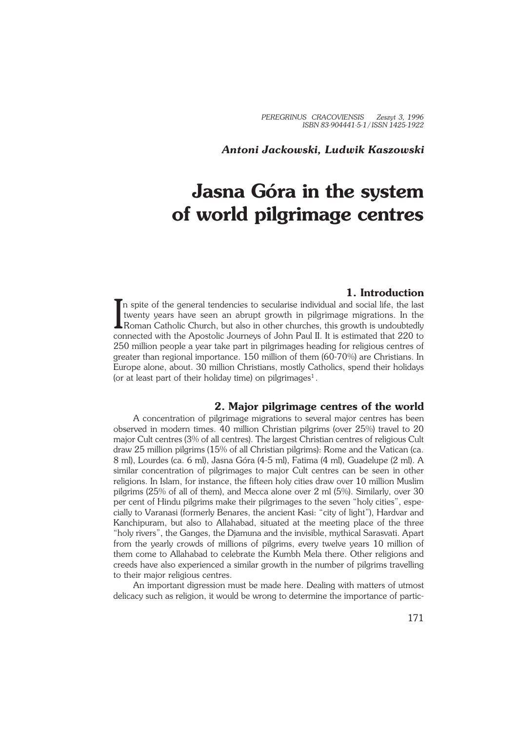*PEREGRINUS CRACOVIENSIS Zeszyt 3, 1996 ISBN 83−904441−5−1 / ISSN 1425−1922*

*Antoni Jackowski, Ludwik Kaszowski*

# **Jasna Góra in the system of world pilgrimage centres**

# **1. Introduction**

In spite of the general tendencies to secularise individual and social life, the last<br>twenty years have seen an abrupt growth in pilgrimage migrations. In the<br>Roman Catholic Church, but also in other churches, this growth n spite of the general tendencies to secularise individual and social life, the last twenty years have seen an abrupt growth in pilgrimage migrations. In the connected with the Apostolic Journeys of John Paul II. It is estimated that 220 to 250 million people a year take part in pilgrimages heading for religious centres of greater than regional importance. 150 million of them (60-70%) are Christians. In Europe alone, about. 30 million Christians, mostly Catholics, spend their holidays (or at least part of their holiday time) on pilgrimages<sup>1</sup>.

#### **2. Major pilgrimage centres of the world**

A concentration of pilgrimage migrations to several major centres has been observed in modern times. 40 million Christian pilgrims (over 25%) travel to 20 major Cult centres (3% of all centres). The largest Christian centres of religious Cult draw 25 million pilgrims (15% of all Christian pilgrims): Rome and the Vatican (ca. 8 ml), Lourdes (ca. 6 ml), Jasna Góra (4−5 ml), Fatima (4 ml), Guadelupe (2 ml). A similar concentration of pilgrimages to major Cult centres can be seen in other religions. In Islam, for instance, the fifteen holy cities draw over 10 million Muslim pilgrims (25% of all of them), and Mecca alone over 2 ml (5%). Similarly, over 30 per cent of Hindu pilgrims make their pilgrimages to the seven "holy cities", espe− cially to Varanasi (formerly Benares, the ancient Kasi: "city of light"), Hardvar and Kanchipuram, but also to Allahabad, situated at the meeting place of the three "holy rivers", the Ganges, the Djamuna and the invisible, mythical Sarasvati. Apart from the yearly crowds of millions of pilgrims, every twelve years 10 million of them come to Allahabad to celebrate the Kumbh Mela there. Other religions and creeds have also experienced a similar growth in the number of pilgrims travelling to their major religious centres.

An important digression must be made here. Dealing with matters of utmost delicacy such as religion, it would be wrong to determine the importance of partic−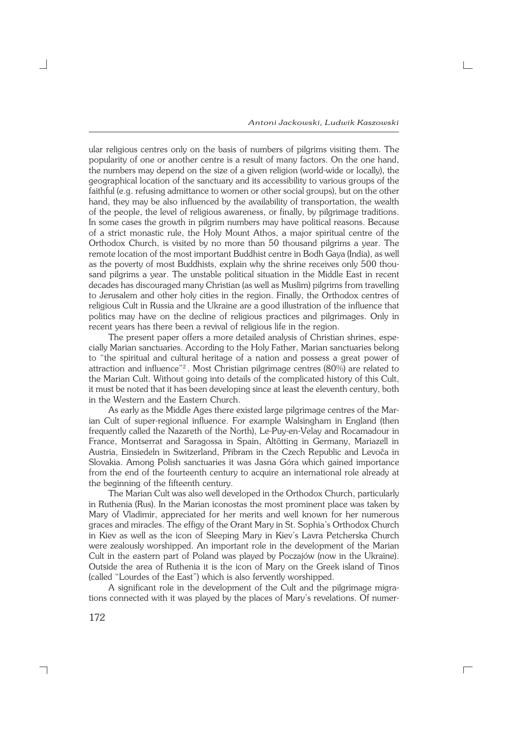ular religious centres only on the basis of numbers of pilgrims visiting them. The popularity of one or another centre is a result of many factors. On the one hand, the numbers may depend on the size of a given religion (world−wide or locally), the geographical location of the sanctuary and its accessibility to various groups of the faithful (e.g. refusing admittance to women or other social groups), but on the other hand, they may be also influenced by the availability of transportation, the wealth of the people, the level of religious awareness, or finally, by pilgrimage traditions. In some cases the growth in pilgrim numbers may have political reasons. Because of a strict monastic rule, the Holy Mount Athos, a major spiritual centre of the Orthodox Church, is visited by no more than 50 thousand pilgrims a year. The remote location of the most important Buddhist centre in Bodh Gaya (India), as well as the poverty of most Buddhists, explain why the shrine receives only 500 thou− sand pilgrims a year. The unstable political situation in the Middle East in recent decades has discouraged many Christian (as well as Muslim) pilgrims from travelling to Jerusalem and other holy cities in the region. Finally, the Orthodox centres of religious Cult in Russia and the Ukraine are a good illustration of the influence that politics may have on the decline of religious practices and pilgrimages. Only in recent years has there been a revival of religious life in the region.

The present paper offers a more detailed analysis of Christian shrines, espe− cially Marian sanctuaries. According to the Holy Father, Marian sanctuaries belong to "the spiritual and cultural heritage of a nation and possess a great power of attraction and influence"<sup>2</sup> . Most Christian pilgrimage centres (80%) are related to the Marian Cult. Without going into details of the complicated history of this Cult, it must be noted that it has been developing since at least the eleventh century, both in the Western and the Eastern Church.

As early as the Middle Ages there existed large pilgrimage centres of the Mar− ian Cult of super−regional influence. For example Walsingham in England (then frequently called the Nazareth of the North), Le−Puy−en−Velay and Rocamadour in France, Montserrat and Saragossa in Spain, Altötting in Germany, Mariazell in Austria, Einsiedeln in Switzerland, Přibram in the Czech Republic and Levoča in Slovakia. Among Polish sanctuaries it was Jasna Góra which gained importance from the end of the fourteenth century to acquire an international role already at the beginning of the fifteenth century.

The Marian Cult was also well developed in the Orthodox Church, particularly in Ruthenia (Rus). In the Marian iconostas the most prominent place was taken by Mary of Vladimir, appreciated for her merits and well known for her numerous graces and miracles. The effigy of the Orant Mary in St. Sophia's Orthodox Church in Kiev as well as the icon of Sleeping Mary in Kiev's Lavra Petcherska Church were zealously worshipped. An important role in the development of the Marian Cult in the eastern part of Poland was played by Poczajów (now in the Ukraine). Outside the area of Ruthenia it is the icon of Mary on the Greek island of Tinos (called "Lourdes of the East") which is also fervently worshipped.

A significant role in the development of the Cult and the pilgrimage migra− tions connected with it was played by the places of Mary's revelations. Of numer−

 $\Box$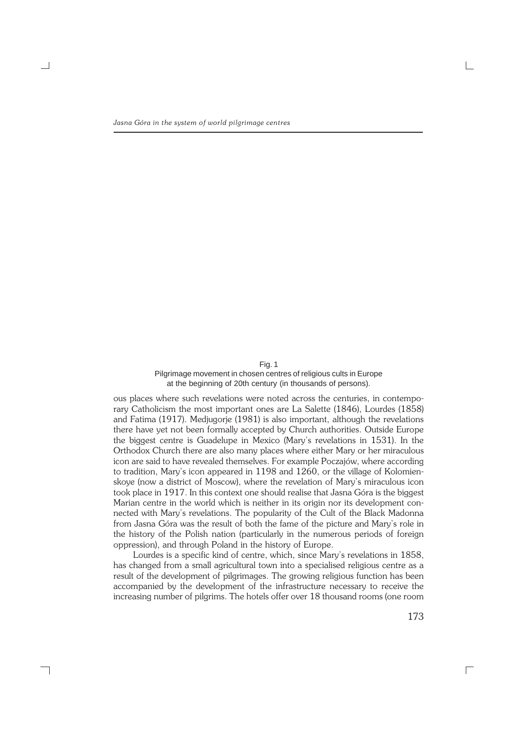Fig. 1 Pilgrimage movement in chosen centres of religious cults in Europe at the beginning of 20th century (in thousands of persons).

ous places where such revelations were noted across the centuries, in contempo− rary Catholicism the most important ones are La Salette (1846), Lourdes (1858) and Fatima (1917). Medjugorje (1981) is also important, although the revelations there have yet not been formally accepted by Church authorities. Outside Europe the biggest centre is Guadelupe in Mexico (Mary's revelations in 1531). In the Orthodox Church there are also many places where either Mary or her miraculous icon are said to have revealed themselves. For example Poczajów, where according to tradition, Mary's icon appeared in 1198 and 1260, or the village of Kolomien− skoye (now a district of Moscow), where the revelation of Mary's miraculous icon took place in 1917. In this context one should realise that Jasna Góra is the biggest Marian centre in the world which is neither in its origin nor its development con− nected with Mary's revelations. The popularity of the Cult of the Black Madonna from Jasna Góra was the result of both the fame of the picture and Mary's role in the history of the Polish nation (particularly in the numerous periods of foreign oppression), and through Poland in the history of Europe.

Lourdes is a specific kind of centre, which, since Mary's revelations in 1858, has changed from a small agricultural town into a specialised religious centre as a result of the development of pilgrimages. The growing religious function has been accompanied by the development of the infrastructure necessary to receive the increasing number of pilgrims. The hotels offer over 18 thousand rooms (one room

┑

173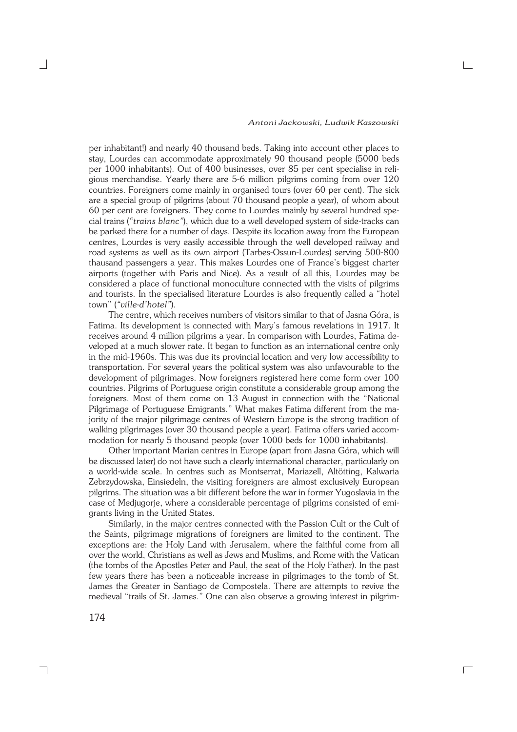per inhabitant!) and nearly 40 thousand beds. Taking into account other places to stay, Lourdes can accommodate approximately 90 thousand people (5000 beds per 1000 inhabitants). Out of 400 businesses, over 85 per cent specialise in reli− gious merchandise. Yearly there are 5−6 million pilgrims coming from over 120 countries. Foreigners come mainly in organised tours (over 60 per cent). The sick are a special group of pilgrims (about 70 thousand people a year), of whom about 60 per cent are foreigners. They come to Lourdes mainly by several hundred spe− cial trains (*"trains blanc"*), which due to a well developed system of side−tracks can be parked there for a number of days. Despite its location away from the European centres, Lourdes is very easily accessible through the well developed railway and road systems as well as its own airport (Tarbes−Ossun−Lourdes) serving 500−800 thausand passengers a year. This makes Lourdes one of France's biggest charter airports (together with Paris and Nice). As a result of all this, Lourdes may be considered a place of functional monoculture connected with the visits of pilgrims and tourists. In the specialised literature Lourdes is also frequently called a "hotel town" (*"ville−d'hotel"*).

The centre, which receives numbers of visitors similar to that of Jasna Góra, is Fatima. Its development is connected with Mary's famous revelations in 1917. It receives around 4 million pilgrims a year. In comparison with Lourdes, Fatima de− veloped at a much slower rate. It began to function as an international centre only in the mid−1960s. This was due its provincial location and very low accessibility to transportation. For several years the political system was also unfavourable to the development of pilgrimages. Now foreigners registered here come form over 100 countries. Pilgrims of Portuguese origin constitute a considerable group among the foreigners. Most of them come on 13 August in connection with the "National Pilgrimage of Portuguese Emigrants." What makes Fatima different from the majority of the major pilgrimage centres of Western Europe is the strong tradition of walking pilgrimages (over 30 thousand people a year). Fatima offers varied accom− modation for nearly 5 thousand people (over 1000 beds for 1000 inhabitants).

Other important Marian centres in Europe (apart from Jasna Góra, which will be discussed later) do not have such a clearly international character, particularly on a world−wide scale. In centres such as Montserrat, Mariazell, Altötting, Kalwaria Zebrzydowska, Einsiedeln, the visiting foreigners are almost exclusively European pilgrims. The situation was a bit different before the war in former Yugoslavia in the case of Medjugorje, where a considerable percentage of pilgrims consisted of emi− grants living in the United States.

Similarly, in the major centres connected with the Passion Cult or the Cult of the Saints, pilgrimage migrations of foreigners are limited to the continent. The exceptions are: the Holy Land with Jerusalem, where the faithful come from all over the world, Christians as well as Jews and Muslims, and Rome with the Vatican (the tombs of the Apostles Peter and Paul, the seat of the Holy Father). In the past few years there has been a noticeable increase in pilgrimages to the tomb of St. James the Greater in Santiago de Compostela. There are attempts to revive the medieval "trails of St. James." One can also observe a growing interest in pilgrim−

 $\Box$ 

174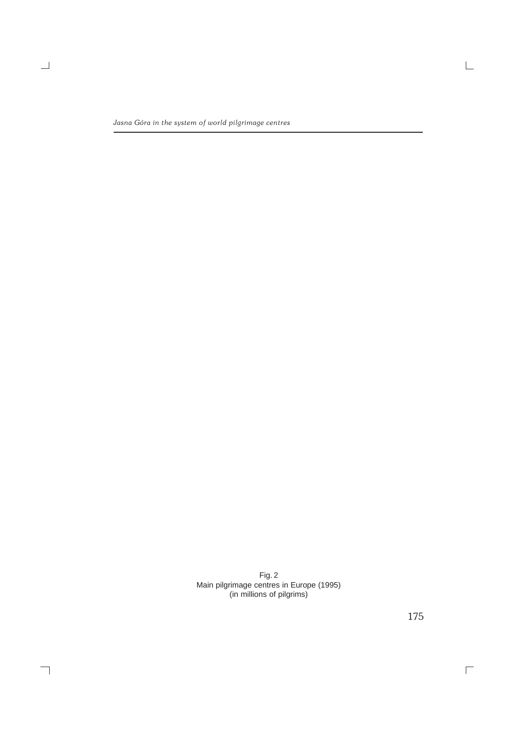$\equiv$ 

 $\overline{\phantom{a}}$ 

Fig. 2 Main pilgrimage centres in Europe (1995) (in millions of pilgrims)

175

 $\overline{\Gamma}$ 

 $\mathrel{\sqsubseteq}$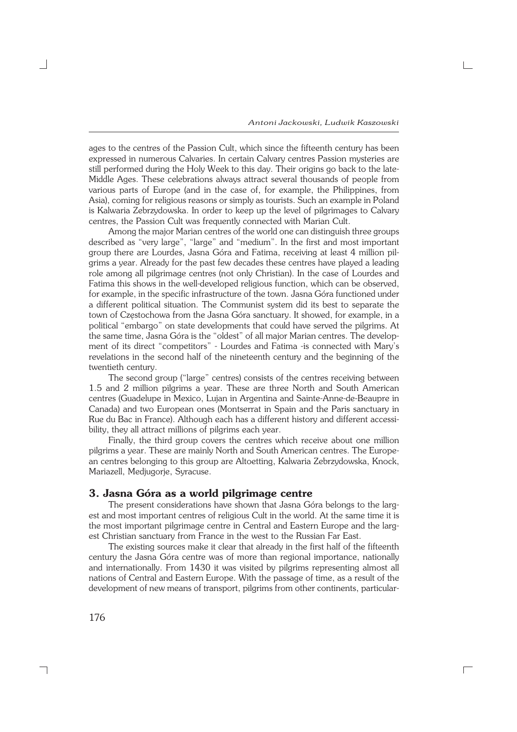ages to the centres of the Passion Cult, which since the fifteenth century has been expressed in numerous Calvaries. In certain Calvary centres Passion mysteries are still performed during the Holy Week to this day. Their origins go back to the late− Middle Ages. These celebrations always attract several thousands of people from various parts of Europe (and in the case of, for example, the Philippines, from Asia), coming for religious reasons or simply as tourists. Such an example in Poland is Kalwaria Zebrzydowska. In order to keep up the level of pilgrimages to Calvary centres, the Passion Cult was frequently connected with Marian Cult.

Among the major Marian centres of the world one can distinguish three groups described as "very large", "large" and "medium". In the first and most important group there are Lourdes, Jasna Góra and Fatima, receiving at least 4 million pil− grims a year. Already for the past few decades these centres have played a leading role among all pilgrimage centres (not only Christian). In the case of Lourdes and Fatima this shows in the well−developed religious function, which can be observed, for example, in the specific infrastructure of the town. Jasna Góra functioned under a different political situation. The Communist system did its best to separate the town of Częstochowa from the Jasna Góra sanctuary. It showed, for example, in a political "embargo" on state developments that could have served the pilgrims. At the same time, Jasna Góra is the "oldest" of all major Marian centres. The develop− ment of its direct "competitors" − Lourdes and Fatima −is connected with Mary's revelations in the second half of the nineteenth century and the beginning of the twentieth century.

The second group ("large" centres) consists of the centres receiving between 1.5 and 2 million pilgrims a year. These are three North and South American centres (Guadelupe in Mexico, Lujan in Argentina and Sainte−Anne−de−Beaupre in Canada) and two European ones (Montserrat in Spain and the Paris sanctuary in Rue du Bac in France). Although each has a different history and different accessi− bility, they all attract millions of pilgrims each year.

Finally, the third group covers the centres which receive about one million pilgrims a year. These are mainly North and South American centres. The Europe− an centres belonging to this group are Altoetting, Kalwaria Zebrzydowska, Knock, Mariazell, Medjugorje, Syracuse.

### **3. Jasna Góra as a world pilgrimage centre**

The present considerations have shown that Jasna Góra belongs to the largest and most important centres of religious Cult in the world. At the same time it is the most important pilgrimage centre in Central and Eastern Europe and the larg− est Christian sanctuary from France in the west to the Russian Far East.

The existing sources make it clear that already in the first half of the fifteenth century the Jasna Góra centre was of more than regional importance, nationally and internationally. From 1430 it was visited by pilgrims representing almost all nations of Central and Eastern Europe. With the passage of time, as a result of the development of new means of transport, pilgrims from other continents, particular−

 $\Box$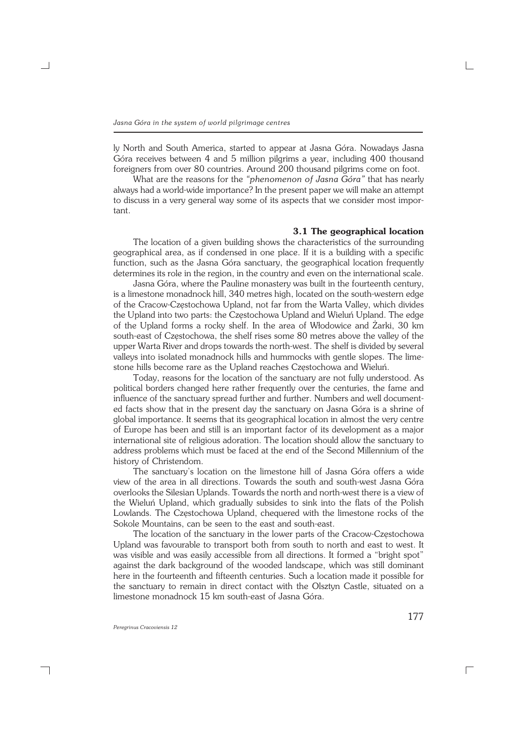ly North and South America, started to appear at Jasna Góra. Nowadays Jasna Góra receives between 4 and 5 million pilgrims a year, including 400 thousand foreigners from over 80 countries. Around 200 thousand pilgrims come on foot.

What are the reasons for the *"phenomenon of Jasna Góra"* that has nearly always had a world−wide importance? In the present paper we will make an attempt to discuss in a very general way some of its aspects that we consider most impor− tant.

#### **3.1 The geographical location**

The location of a given building shows the characteristics of the surrounding geographical area, as if condensed in one place. If it is a building with a specific function, such as the Jasna Góra sanctuary, the geographical location frequently determines its role in the region, in the country and even on the international scale.

Jasna Góra, where the Pauline monastery was built in the fourteenth century, is a limestone monadnock hill, 340 metres high, located on the south−western edge of the Cracow−Częstochowa Upland, not far from the Warta Valley, which divides the Upland into two parts: the Częstochowa Upland and Wieluń Upland. The edge of the Upland forms a rocky shelf. In the area of Włodowice and Żarki, 30 km south−east of Częstochowa, the shelf rises some 80 metres above the valley of the upper Warta River and drops towards the north−west. The shelf is divided by several valleys into isolated monadnock hills and hummocks with gentle slopes. The lime− stone hills become rare as the Upland reaches Częstochowa and Wieluń.

Today, reasons for the location of the sanctuary are not fully understood. As political borders changed here rather frequently over the centuries, the fame and influence of the sanctuary spread further and further. Numbers and well document− ed facts show that in the present day the sanctuary on Jasna Góra is a shrine of global importance. It seems that its geographical location in almost the very centre of Europe has been and still is an important factor of its development as a major international site of religious adoration. The location should allow the sanctuary to address problems which must be faced at the end of the Second Millennium of the history of Christendom.

The sanctuary's location on the limestone hill of Jasna Góra offers a wide view of the area in all directions. Towards the south and south−west Jasna Góra overlooks the Silesian Uplands. Towards the north and north−west there is a view of the Wieluń Upland, which gradually subsides to sink into the flats of the Polish Lowlands. The Częstochowa Upland, chequered with the limestone rocks of the Sokole Mountains, can be seen to the east and south−east.

The location of the sanctuary in the lower parts of the Cracow−Częstochowa Upland was favourable to transport both from south to north and east to west. It was visible and was easily accessible from all directions. It formed a "bright spot" against the dark background of the wooded landscape, which was still dominant here in the fourteenth and fifteenth centuries. Such a location made it possible for the sanctuary to remain in direct contact with the Olsztyn Castle, situated on a limestone monadnock 15 km south−east of Jasna Góra.

┐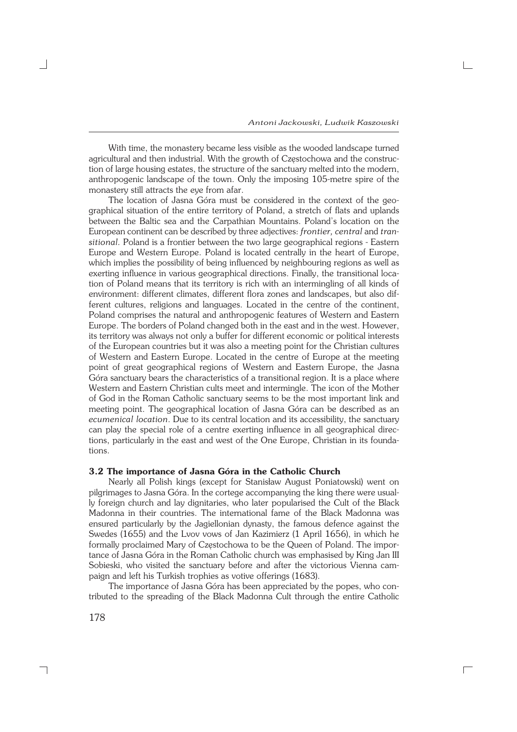With time, the monastery became less visible as the wooded landscape turned agricultural and then industrial. With the growth of Częstochowa and the construc− tion of large housing estates, the structure of the sanctuary melted into the modern, anthropogenic landscape of the town. Only the imposing 105−metre spire of the monastery still attracts the eye from afar.

The location of Jasna Góra must be considered in the context of the geo− graphical situation of the entire territory of Poland, a stretch of flats and uplands between the Baltic sea and the Carpathian Mountains. Poland's location on the European continent can be described by three adjectives: *frontier, central* and *tran− sitional.* Poland is a frontier between the two large geographical regions − Eastern Europe and Western Europe. Poland is located centrally in the heart of Europe, which implies the possibility of being influenced by neighbouring regions as well as exerting influence in various geographical directions. Finally, the transitional loca− tion of Poland means that its territory is rich with an intermingling of all kinds of environment: different climates, different flora zones and landscapes, but also dif− ferent cultures, religions and languages. Located in the centre of the continent, Poland comprises the natural and anthropogenic features of Western and Eastern Europe. The borders of Poland changed both in the east and in the west. However, its territory was always not only a buffer for different economic or political interests of the European countries but it was also a meeting point for the Christian cultures of Western and Eastern Europe. Located in the centre of Europe at the meeting point of great geographical regions of Western and Eastern Europe, the Jasna Góra sanctuary bears the characteristics of a transitional region. It is a place where Western and Eastern Christian cults meet and intermingle. The icon of the Mother of God in the Roman Catholic sanctuary seems to be the most important link and meeting point. The geographical location of Jasna Góra can be described as an *ecumenical location*. Due to its central location and its accessibility, the sanctuary can play the special role of a centre exerting influence in all geographical direc− tions, particularly in the east and west of the One Europe, Christian in its founda− tions.

#### **3.2 The importance of Jasna Góra in the Catholic Church**

Nearly all Polish kings (except for Stanisław August Poniatowski) went on pilgrimages to Jasna Góra. In the cortege accompanying the king there were usual− ly foreign church and lay dignitaries, who later popularised the Cult of the Black Madonna in their countries. The international fame of the Black Madonna was ensured particularly by the Jagiellonian dynasty, the famous defence against the Swedes (1655) and the Lvov vows of Jan Kazimierz (1 April 1656), in which he formally proclaimed Mary of Częstochowa to be the Queen of Poland. The impor− tance of Jasna Góra in the Roman Catholic church was emphasised by King Jan III Sobieski, who visited the sanctuary before and after the victorious Vienna cam− paign and left his Turkish trophies as votive offerings (1683).

The importance of Jasna Góra has been appreciated by the popes, who con− tributed to the spreading of the Black Madonna Cult through the entire Catholic

 $\Box$ 

178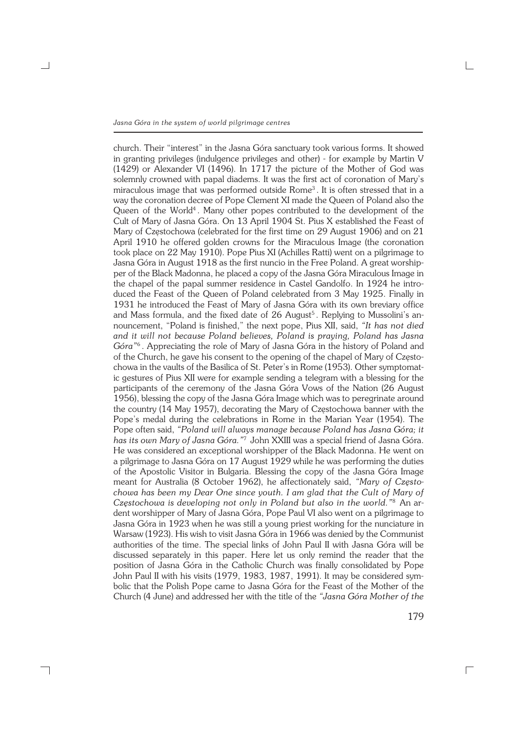┐

church. Their "interest" in the Jasna Góra sanctuary took various forms. It showed in granting privileges (indulgence privileges and other) − for example by Martin V (1429) or Alexander VI (1496). In 1717 the picture of the Mother of God was solemnly crowned with papal diadems. It was the first act of coronation of Mary's miraculous image that was performed outside Rome<sup>3</sup>. It is often stressed that in a way the coronation decree of Pope Clement XI made the Queen of Poland also the Queen of the World<sup>4</sup>. Many other popes contributed to the development of the Cult of Mary of Jasna Góra. On 13 April 1904 St. Pius X established the Feast of Mary of Częstochowa (celebrated for the first time on 29 August 1906) and on 21 April 1910 he offered golden crowns for the Miraculous Image (the coronation took place on 22 May 1910). Pope Pius XI (Achilles Ratti) went on a pilgrimage to Jasna Góra in August 1918 as the first nuncio in the Free Poland. A great worship− per of the Black Madonna, he placed a copy of the Jasna Góra Miraculous Image in the chapel of the papal summer residence in Castel Gandolfo. In 1924 he intro− duced the Feast of the Queen of Poland celebrated from 3 May 1925. Finally in 1931 he introduced the Feast of Mary of Jasna Góra with its own breviary office and Mass formula, and the fixed date of 26 August<sup>5</sup>. Replying to Mussolini's announcement, "Poland is finished," the next pope, Pius XII, said, *"It has not died and it will not because Poland believes, Poland is praying, Poland has Jasna Góra"*<sup>6</sup> . Appreciating the role of Mary of Jasna Góra in the history of Poland and of the Church, he gave his consent to the opening of the chapel of Mary of Często− chowa in the vaults of the Basilica of St. Peter's in Rome (1953). Other symptomat− ic gestures of Pius XII were for example sending a telegram with a blessing for the participants of the ceremony of the Jasna Góra Vows of the Nation (26 August 1956), blessing the copy of the Jasna Góra Image which was to peregrinate around the country (14 May 1957), decorating the Mary of Częstochowa banner with the Pope's medal during the celebrations in Rome in the Marian Year (1954). The Pope often said, *"Poland will always manage because Poland has Jasna Góra; it has its own Mary of Jasna Góra."*<sup>7</sup> John XXIII was a special friend of Jasna Góra. He was considered an exceptional worshipper of the Black Madonna. He went on a pilgrimage to Jasna Góra on 17 August 1929 while he was performing the duties of the Apostolic Visitor in Bulgaria. Blessing the copy of the Jasna Góra Image meant for Australia (8 October 1962), he affectionately said, *"Mary of Często− chowa has been my Dear One since youth. I am glad that the Cult of Mary of Częstochowa is developing not only in Poland but also in the world."*<sup>8</sup> An ar− dent worshipper of Mary of Jasna Góra, Pope Paul VI also went on a pilgrimage to Jasna Góra in 1923 when he was still a young priest working for the nunciature in Warsaw (1923). His wish to visit Jasna Góra in 1966 was denied by the Communist authorities of the time. The special links of John Paul II with Jasna Góra will be discussed separately in this paper. Here let us only remind the reader that the position of Jasna Góra in the Catholic Church was finally consolidated by Pope John Paul II with his visits (1979, 1983, 1987, 1991). It may be considered sym− bolic that the Polish Pope came to Jasna Góra for the Feast of the Mother of the Church (4 June) and addressed her with the title of the *"Jasna Góra Mother of the*

179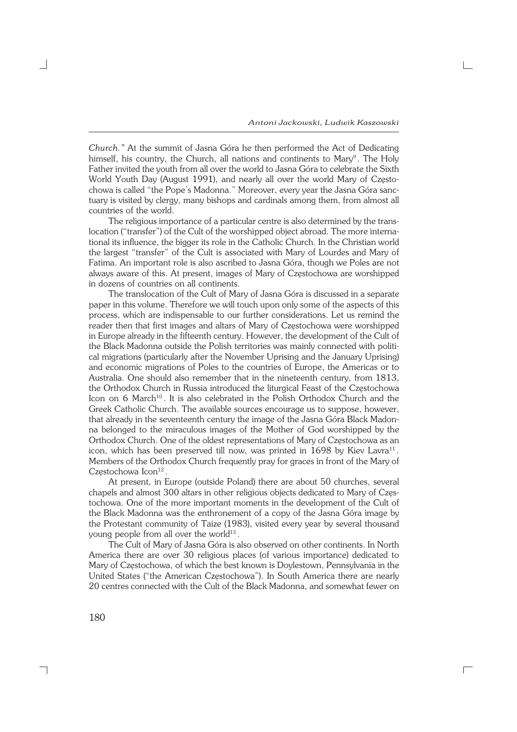*Church."* At the summit of Jasna Góra he then performed the Act of Dedicating himself, his country, the Church, all nations and continents to Mary<sup>9</sup>. The Holy Father invited the youth from all over the world to Jasna Góra to celebrate the Sixth World Youth Day (August 1991), and nearly all over the world Mary of Często− chowa is called "the Pope's Madonna." Moreover, every year the Jasna Góra sanc− tuary is visited by clergy, many bishops and cardinals among them, from almost all countries of the world.

The religious importance of a particular centre is also determined by the trans− location ("transfer") of the Cult of the worshipped object abroad. The more interna− tional its influence, the bigger its role in the Catholic Church. In the Christian world the largest "transfer" of the Cult is associated with Mary of Lourdes and Mary of Fatima. An important role is also ascribed to Jasna Góra, though we Poles are not always aware of this. At present, images of Mary of Częstochowa are worshipped in dozens of countries on all continents.

The translocation of the Cult of Mary of Jasna Góra is discussed in a separate paper in this volume. Therefore we will touch upon only some of the aspects of this process, which are indispensable to our further considerations. Let us remind the reader then that first images and altars of Mary of Częstochowa were worshipped in Europe already in the fifteenth century. However, the development of the Cult of the Black Madonna outside the Polish territories was mainly connected with politi− cal migrations (particularly after the November Uprising and the January Uprising) and economic migrations of Poles to the countries of Europe, the Americas or to Australia. One should also remember that in the nineteenth century, from 1813, the Orthodox Church in Russia introduced the liturgical Feast of the Częstochowa Icon on 6 March<sup>10</sup>. It is also celebrated in the Polish Orthodox Church and the Greek Catholic Church. The available sources encourage us to suppose, however, that already in the seventeenth century the image of the Jasna Góra Black Madon− na belonged to the miraculous images of the Mother of God worshipped by the Orthodox Church. One of the oldest representations of Mary of Częstochowa as an icon, which has been preserved till now, was printed in 1698 by Kiev Lavra<sup>11</sup>. Members of the Orthodox Church frequently pray for graces in front of the Mary of Częstochowa Icon<sup>12</sup>.

At present, in Europe (outside Poland) there are about 50 churches, several chapels and almost 300 altars in other religious objects dedicated to Mary of Częs− tochowa. One of the more important moments in the development of the Cult of the Black Madonna was the enthronement of a copy of the Jasna Góra image by the Protestant community of Taize (1983), visited every year by several thousand young people from all over the world $13$ .

The Cult of Mary of Jasna Góra is also observed on other continents. In North America there are over 30 religious places (of various importance) dedicated to Mary of Częstochowa, of which the best known is Doylestown, Pennsylvania in the United States ("the American Częstochowa"). In South America there are nearly 20 centres connected with the Cult of the Black Madonna, and somewhat fewer on

 $\Box$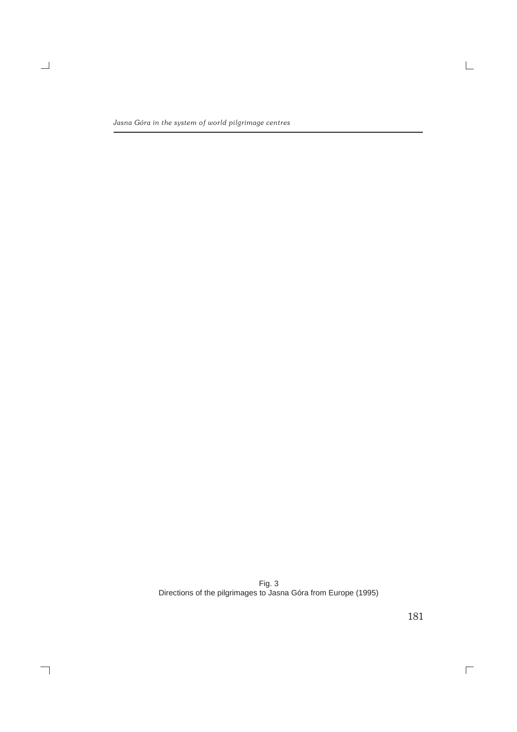$\equiv$ 

 $\overline{\phantom{a}}$ 

Fig. 3 Directions of the pilgrimages to Jasna Góra from Europe (1995)

181

 $\overline{\Box}$ 

 $\overline{\mathbb{L}}$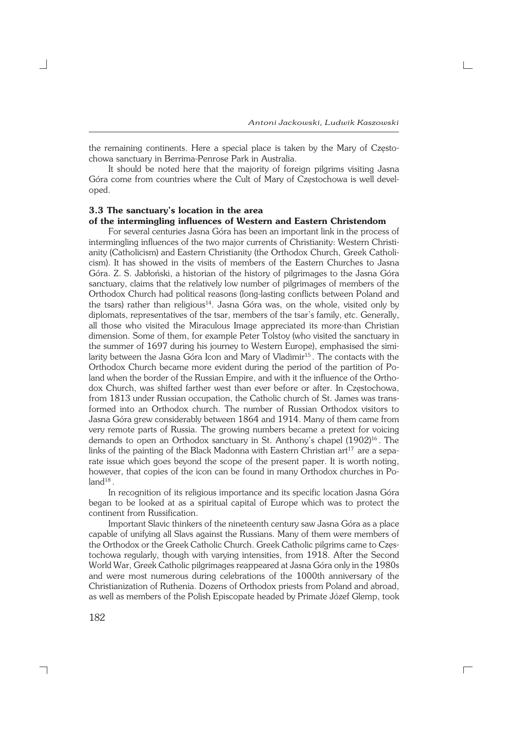the remaining continents. Here a special place is taken by the Mary of Często− chowa sanctuary in Berrima−Penrose Park in Australia.

It should be noted here that the majority of foreign pilgrims visiting Jasna Góra come from countries where the Cult of Mary of Częstochowa is well devel− oped.

#### **3.3 The sanctuary's location in the area of the intermingling influences of Western and Eastern Christendom**

For several centuries Jasna Góra has been an important link in the process of intermingling influences of the two major currents of Christianity: Western Christi− anity (Catholicism) and Eastern Christianity (the Orthodox Church, Greek Catholi− cism). It has showed in the visits of members of the Eastern Churches to Jasna Góra. Z.S. Jabłoński, a historian of the history of pilgrimages to the Jasna Góra sanctuary, claims that the relatively low number of pilgrimages of members of the Orthodox Church had political reasons (long−lasting conflicts between Poland and the tsars) rather than religious<sup>14</sup>. Jasna Góra was, on the whole, visited only by diplomats, representatives of the tsar, members of the tsar's family, etc. Generally, all those who visited the Miraculous Image appreciated its more−than Christian dimension. Some of them, for example Peter Tolstoy (who visited the sanctuary in the summer of 1697 during his journey to Western Europe), emphasised the simi− larity between the Jasna Góra Icon and Mary of Vladimir<sup>15</sup>. The contacts with the Orthodox Church became more evident during the period of the partition of Po− land when the border of the Russian Empire, and with it the influence of the Ortho− dox Church, was shifted farther west than ever before or after. In Częstochowa, from 1813 under Russian occupation, the Catholic church of St. James was trans− formed into an Orthodox church. The number of Russian Orthodox visitors to Jasna Góra grew considerably between 1864 and 1914. Many of them came from very remote parts of Russia. The growing numbers became a pretext for voicing demands to open an Orthodox sanctuary in St. Anthony's chapel (1902)<sup>16</sup>. The links of the painting of the Black Madonna with Eastern Christian art<sup>17</sup> are a separate issue which goes beyond the scope of the present paper. It is worth noting, however, that copies of the icon can be found in many Orthodox churches in Po−  $land^{18}$  .

In recognition of its religious importance and its specific location Jasna Góra began to be looked at as a spiritual capital of Europe which was to protect the continent from Russification.

Important Slavic thinkers of the nineteenth century saw Jasna Góra as a place capable of unifying all Slavs against the Russians. Many of them were members of the Orthodox or the Greek Catholic Church. Greek Catholic pilgrims came to Częs− tochowa regularly, though with varying intensities, from 1918. After the Second World War, Greek Catholic pilgrimages reappeared at Jasna Góra only in the 1980s and were most numerous during celebrations of the 1000th anniversary of the Christianization of Ruthenia. Dozens of Orthodox priests from Poland and abroad, as well as members of the Polish Episcopate headed by Primate Józef Glemp, took

 $\Box$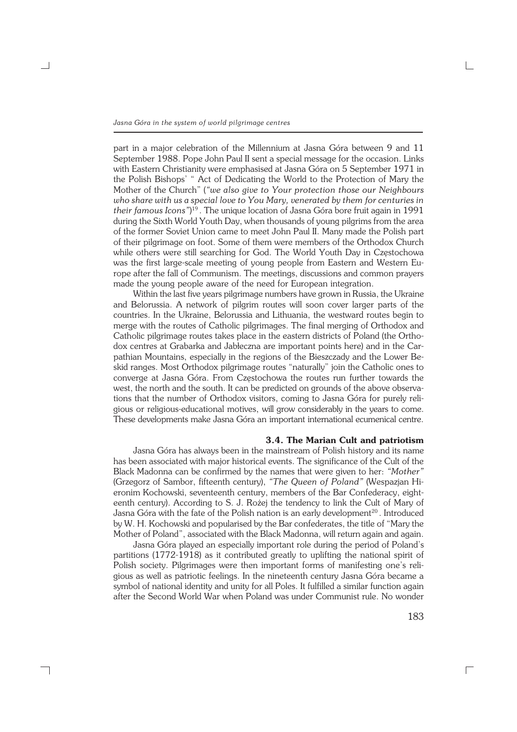part in a major celebration of the Millennium at Jasna Góra between 9 and 11 September 1988. Pope John Paul II sent a special message for the occasion. Links with Eastern Christianity were emphasised at Jasna Góra on 5 September 1971 in the Polish Bishops' " Act of Dedicating the World to the Protection of Mary the Mother of the Church" (*"we also give to Your protection those our Neighbours who share with us a special love to You Mary, venerated by them for centuries in their famous Icons"*) <sup>19</sup> . The unique location of Jasna Góra bore fruit again in 1991 during the Sixth World Youth Day, when thousands of young pilgrims from the area of the former Soviet Union came to meet John Paul II. Many made the Polish part of their pilgrimage on foot. Some of them were members of the Orthodox Church while others were still searching for God. The World Youth Day in Częstochowa was the first large−scale meeting of young people from Eastern and Western Eu− rope after the fall of Communism. The meetings, discussions and common prayers made the young people aware of the need for European integration.

Within the last five years pilgrimage numbers have grown in Russia, the Ukraine and Belorussia. A network of pilgrim routes will soon cover larger parts of the countries. In the Ukraine, Belorussia and Lithuania, the westward routes begin to merge with the routes of Catholic pilgrimages. The final merging of Orthodox and Catholic pilgrimage routes takes place in the eastern districts of Poland (the Ortho− dox centres at Grabarka and Jabłeczna are important points here) and in the Car− pathian Mountains, especially in the regions of the Bieszczady and the Lower Be− skid ranges. Most Orthodox pilgrimage routes "naturally" join the Catholic ones to converge at Jasna Góra. From Częstochowa the routes run further towards the west, the north and the south. It can be predicted on grounds of the above observa− tions that the number of Orthodox visitors, coming to Jasna Góra for purely religious or religious−educational motives, will grow considerably in the years to come. These developments make Jasna Góra an important international ecumenical centre.

#### **3.4. The Marian Cult and patriotism**

Jasna Góra has always been in the mainstream of Polish history and its name has been associated with major historical events. The significance of the Cult of the Black Madonna can be confirmed by the names that were given to her: *"Mother"* (Grzegorz of Sambor, fifteenth century), *"The Queen of Poland"* (Wespazjan Hi− eronim Kochowski, seventeenth century, members of the Bar Confederacy, eight− eenth century). According to S. J. Rożej the tendency to link the Cult of Mary of Jasna Góra with the fate of the Polish nation is an early development<sup>20</sup>. Introduced by W. H. Kochowski and popularised by the Bar confederates, the title of "Mary the Mother of Poland", associated with the Black Madonna, will return again and again.

Jasna Góra played an especially important role during the period of Poland's partitions (1772-1918) as it contributed greatly to uplifting the national spirit of Polish society. Pilgrimages were then important forms of manifesting one's reli− gious as well as patriotic feelings. In the nineteenth century Jasna Góra became a symbol of national identity and unity for all Poles. It fulfilled a similar function again after the Second World War when Poland was under Communist rule. No wonder

┐

183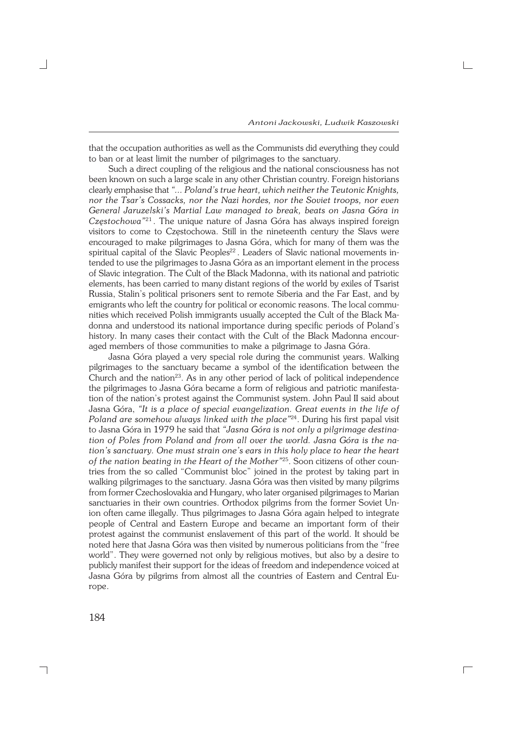$\Box$ 

that the occupation authorities as well as the Communists did everything they could to ban or at least limit the number of pilgrimages to the sanctuary.

Such a direct coupling of the religious and the national consciousness has not been known on such a large scale in any other Christian country. Foreign historians clearly emphasise that *"... Poland's true heart, which neither the Teutonic Knights, nor the Tsar's Cossacks, nor the Nazi hordes, nor the Soviet troops, nor even General Jaruzelski's Martial Law managed to break, beats on Jasna Góra in Częstochowa"*<sup>21</sup> . The unique nature of Jasna Góra has always inspired foreign visitors to come to Częstochowa. Still in the nineteenth century the Slavs were encouraged to make pilgrimages to Jasna Góra, which for many of them was the spiritual capital of the Slavic Peoples<sup>22</sup>. Leaders of Slavic national movements intended to use the pilgrimages to Jasna Góra as an important element in the process of Slavic integration. The Cult of the Black Madonna, with its national and patriotic elements, has been carried to many distant regions of the world by exiles of Tsarist Russia, Stalin's political prisoners sent to remote Siberia and the Far East, and by emigrants who left the country for political or economic reasons. The local commu nities which received Polish immigrants usually accepted the Cult of the Black Ma− donna and understood its national importance during specific periods of Poland's history. In many cases their contact with the Cult of the Black Madonna encour− aged members of those communities to make a pilgrimage to Jasna Góra.

Jasna Góra played a very special role during the communist years. Walking pilgrimages to the sanctuary became a symbol of the identification between the Church and the nation<sup>23</sup>. As in any other period of lack of political independence the pilgrimages to Jasna Góra became a form of religious and patriotic manifesta− tion of the nation's protest against the Communist system. John Paul II said about Jasna Góra, *"It is a place of special evangelization. Great events in the life of Poland are somehow always linked with the place"*24. During his first papal visit to Jasna Góra in 1979 he said that *"Jasna Góra is not only a pilgrimage destina− tion of Poles from Poland and from all over the world. Jasna Góra is the na− tion's sanctuary. One must strain one's ears in this holy place to hear the heart of the nation beating in the Heart of the Mother"*25. Soon citizens of other coun− tries from the so called "Communist bloc" joined in the protest by taking part in walking pilgrimages to the sanctuary. Jasna Góra was then visited by many pilgrims from former Czechoslovakia and Hungary, who later organised pilgrimages to Marian sanctuaries in their own countries. Orthodox pilgrims from the former Soviet Un− ion often came illegally. Thus pilgrimages to Jasna Góra again helped to integrate people of Central and Eastern Europe and became an important form of their protest against the communist enslavement of this part of the world. It should be noted here that Jasna Góra was then visited by numerous politicians from the "free world". They were governed not only by religious motives, but also by a desire to publicly manifest their support for the ideas of freedom and independence voiced at Jasna Góra by pilgrims from almost all the countries of Eastern and Central Eu− rope.

184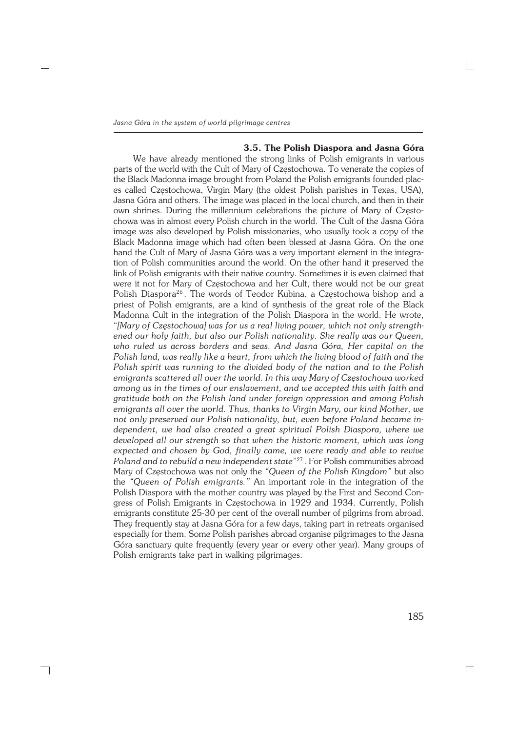┐

# **3.5. The Polish Diaspora and Jasna Góra**

We have already mentioned the strong links of Polish emigrants in various parts of the world with the Cult of Mary of Częstochowa. To venerate the copies of the Black Madonna image brought from Poland the Polish emigrants founded plac− es called Częstochowa, Virgin Mary (the oldest Polish parishes in Texas, USA), Jasna Góra and others. The image was placed in the local church, and then in their own shrines. During the millennium celebrations the picture of Mary of Często− chowa was in almost every Polish church in the world. The Cult of the Jasna Góra image was also developed by Polish missionaries, who usually took a copy of the Black Madonna image which had often been blessed at Jasna Góra. On the one hand the Cult of Mary of Jasna Góra was a very important element in the integra− tion of Polish communities around the world. On the other hand it preserved the link of Polish emigrants with their native country. Sometimes it is even claimed that were it not for Mary of Częstochowa and her Cult, there would not be our great Polish Diaspora<sup>26</sup>. The words of Teodor Kubina, a Częstochowa bishop and a priest of Polish emigrants, are a kind of synthesis of the great role of the Black Madonna Cult in the integration of the Polish Diaspora in the world. He wrote, "*[Mary of Częstochowa] was for us a real living power, which not only strength− ened our holy faith, but also our Polish nationality. She really was our Queen, who ruled us across borders and seas. And Jasna Góra, Her capital on the Polish land, was really like a heart, from which the living blood of faith and the Polish spirit was running to the divided body of the nation and to the Polish emigrants scattered all over the world. In this way Mary of Częstochowa worked among us in the times of our enslavement, and we accepted this with faith and gratitude both on the Polish land under foreign oppression and among Polish emigrants all over the world. Thus, thanks to Virgin Mary, our kind Mother, we not only preserved our Polish nationality, but, even before Poland became in− dependent, we had also created a great spiritual Polish Diaspora, where we developed all our strength so that when the historic moment, which was long expected and chosen by God, finally came, we were ready and able to revive Poland and to rebuild a new independent state*" <sup>27</sup> . For Polish communities abroad Mary of Częstochowa was not only the *"Queen of the Polish Kingdom"* but also the *"Queen of Polish emigrants."* An important role in the integration of the Polish Diaspora with the mother country was played by the First and Second Con− gress of Polish Emigrants in Częstochowa in 1929 and 1934. Currently, Polish emigrants constitute 25−30 per cent of the overall number of pilgrims from abroad. They frequently stay at Jasna Góra for a few days, taking part in retreats organised especially for them. Some Polish parishes abroad organise pilgrimages to the Jasna Góra sanctuary quite frequently (every year or every other year). Many groups of Polish emigrants take part in walking pilgrimages.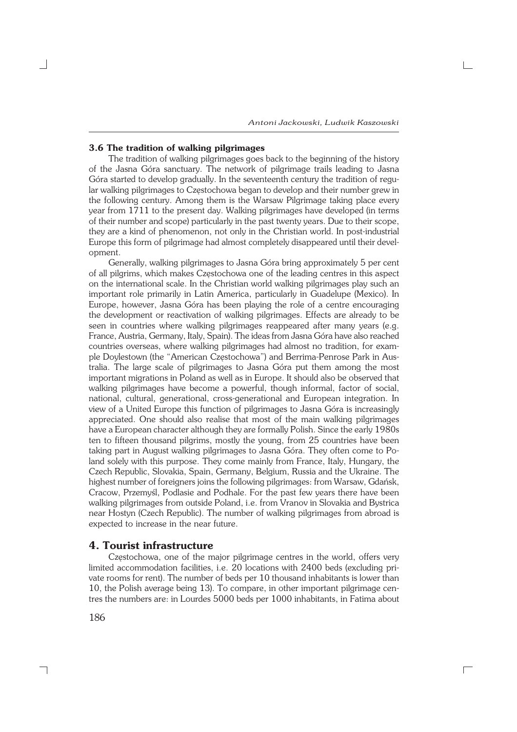*Antoni Jackowski, Ludwik Kaszowski*

# **3.6 The tradition of walking pilgrimages**

The tradition of walking pilgrimages goes back to the beginning of the history of the Jasna Góra sanctuary. The network of pilgrimage trails leading to Jasna Góra started to develop gradually. In the seventeenth century the tradition of regu− lar walking pilgrimages to Częstochowa began to develop and their number grew in the following century. Among them is the Warsaw Pilgrimage taking place every year from 1711 to the present day. Walking pilgrimages have developed (in terms of their number and scope) particularly in the past twenty years. Due to their scope, they are a kind of phenomenon, not only in the Christian world. In post−industrial Europe this form of pilgrimage had almost completely disappeared until their devel− opment.

Generally, walking pilgrimages to Jasna Góra bring approximately 5 per cent of all pilgrims, which makes Częstochowa one of the leading centres in this aspect on the international scale. In the Christian world walking pilgrimages play such an important role primarily in Latin America, particularly in Guadelupe (Mexico). In Europe, however, Jasna Góra has been playing the role of a centre encouraging the development or reactivation of walking pilgrimages. Effects are already to be seen in countries where walking pilgrimages reappeared after many years (e.g. France, Austria, Germany, Italy, Spain). The ideas from Jasna Góra have also reached countries overseas, where walking pilgrimages had almost no tradition, for exam− ple Doylestown (the "American Częstochowa") and Berrima−Penrose Park in Aus− tralia. The large scale of pilgrimages to Jasna Góra put them among the most important migrations in Poland as well as in Europe. It should also be observed that walking pilgrimages have become a powerful, though informal, factor of social, national, cultural, generational, cross−generational and European integration. In view of a United Europe this function of pilgrimages to Jasna Góra is increasingly appreciated. One should also realise that most of the main walking pilgrimages have a European character although they are formally Polish. Since the early 1980s ten to fifteen thousand pilgrims, mostly the young, from 25 countries have been taking part in August walking pilgrimages to Jasna Góra. They often come to Po− land solely with this purpose. They come mainly from France, Italy, Hungary, the Czech Republic, Slovakia, Spain, Germany, Belgium, Russia and the Ukraine. The highest number of foreigners joins the following pilgrimages: from Warsaw, Gdańsk, Cracow, Przemyśl, Podlasie and Podhale. For the past few years there have been walking pilgrimages from outside Poland, i.e. from Vranov in Slovakia and Bystrica near Hostyn (Czech Republic). The number of walking pilgrimages from abroad is expected to increase in the near future.

#### **4. Tourist infrastructure**

Częstochowa, one of the major pilgrimage centres in the world, offers very limited accommodation facilities, i.e. 20 locations with 2400 beds (excluding pri− vate rooms for rent). The number of beds per 10 thousand inhabitants is lower than 10, the Polish average being 13). To compare, in other important pilgrimage cen− tres the numbers are: in Lourdes 5000 beds per 1000 inhabitants, in Fatima about

 $\Box$ 

186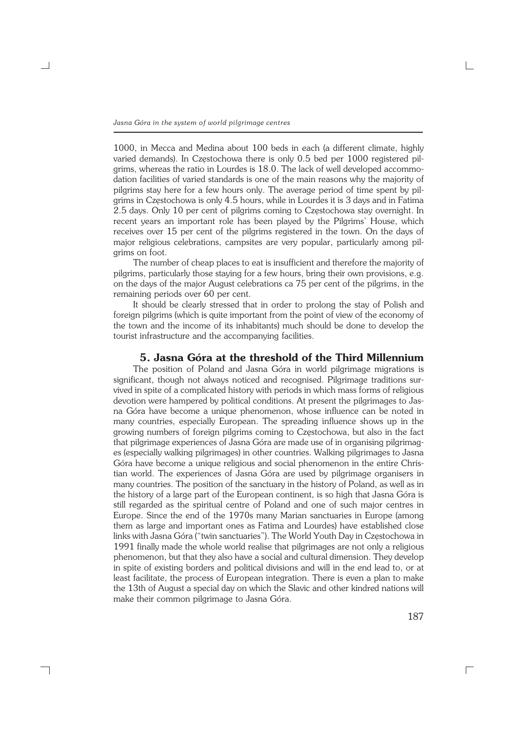1000, in Mecca and Medina about 100 beds in each (a different climate, highly varied demands). In Czestochowa there is only 0.5 bed per 1000 registered pilgrims, whereas the ratio in Lourdes is 18.0. The lack of well developed accommodation facilities of varied standards is one of the main reasons why the majority of pilgrims stay here for a few hours only. The average period of time spent by pil− grims in Częstochowa is only 4.5 hours, while in Lourdes it is 3 days and in Fatima 2.5 days. Only 10 per cent of pilgrims coming to Częstochowa stay overnight. In recent years an important role has been played by the Pilgrims' House, which receives over 15 per cent of the pilgrims registered in the town. On the days of major religious celebrations, campsites are very popular, particularly among pil− grims on foot.

The number of cheap places to eat is insufficient and therefore the majority of pilgrims, particularly those staying for a few hours, bring their own provisions, e.g. on the days of the major August celebrations ca 75 per cent of the pilgrims, in the remaining periods over 60 per cent.

It should be clearly stressed that in order to prolong the stay of Polish and foreign pilgrims (which is quite important from the point of view of the economy of the town and the income of its inhabitants) much should be done to develop the tourist infrastructure and the accompanying facilities.

## **5. Jasna Góra at the threshold of the Third Millennium**

The position of Poland and Jasna Góra in world pilgrimage migrations is significant, though not always noticed and recognised. Pilgrimage traditions sur− vived in spite of a complicated history with periods in which mass forms of religious devotion were hampered by political conditions. At present the pilgrimages to Jas− na Góra have become a unique phenomenon, whose influence can be noted in many countries, especially European. The spreading influence shows up in the growing numbers of foreign pilgrims coming to Częstochowa, but also in the fact that pilgrimage experiences of Jasna Góra are made use of in organising pilgrimag− es (especially walking pilgrimages) in other countries. Walking pilgrimages to Jasna Góra have become a unique religious and social phenomenon in the entire Chris− tian world. The experiences of Jasna Góra are used by pilgrimage organisers in many countries. The position of the sanctuary in the history of Poland, as well as in the history of a large part of the European continent, is so high that Jasna Góra is still regarded as the spiritual centre of Poland and one of such major centres in Europe. Since the end of the 1970s many Marian sanctuaries in Europe (among them as large and important ones as Fatima and Lourdes) have established close links with Jasna Góra ("twin sanctuaries"). The World Youth Day in Częstochowa in 1991 finally made the whole world realise that pilgrimages are not only a religious phenomenon, but that they also have a social and cultural dimension. They develop in spite of existing borders and political divisions and will in the end lead to, or at least facilitate, the process of European integration. There is even a plan to make the 13th of August a special day on which the Slavic and other kindred nations will make their common pilgrimage to Jasna Góra.

┐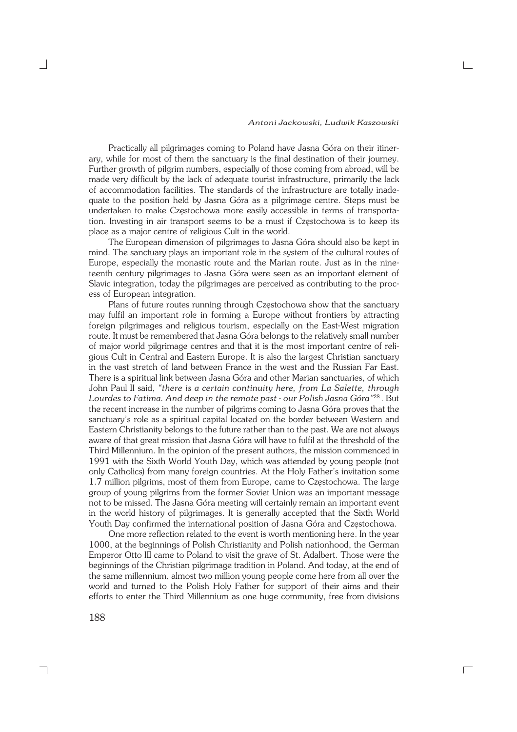Practically all pilgrimages coming to Poland have Jasna Góra on their itiner− ary, while for most of them the sanctuary is the final destination of their journey. Further growth of pilgrim numbers, especially of those coming from abroad, will be made very difficult by the lack of adequate tourist infrastructure, primarily the lack of accommodation facilities. The standards of the infrastructure are totally inade− quate to the position held by Jasna Góra as a pilgrimage centre. Steps must be undertaken to make Częstochowa more easily accessible in terms of transporta− tion. Investing in air transport seems to be a must if Częstochowa is to keep its place as a major centre of religious Cult in the world.

The European dimension of pilgrimages to Jasna Góra should also be kept in mind. The sanctuary plays an important role in the system of the cultural routes of Europe, especially the monastic route and the Marian route. Just as in the nine− teenth century pilgrimages to Jasna Góra were seen as an important element of Slavic integration, today the pilgrimages are perceived as contributing to the proc− ess of European integration.

Plans of future routes running through Częstochowa show that the sanctuary may fulfil an important role in forming a Europe without frontiers by attracting foreign pilgrimages and religious tourism, especially on the East−West migration route. It must be remembered that Jasna Góra belongs to the relatively small number of major world pilgrimage centres and that it is the most important centre of reli− gious Cult in Central and Eastern Europe. It is also the largest Christian sanctuary in the vast stretch of land between France in the west and the Russian Far East. There is a spiritual link between Jasna Góra and other Marian sanctuaries, of which John Paul II said, *"there is a certain continuity here, from La Salette, through Lourdes to Fatima. And deep in the remote past − our Polish Jasna Góra"*<sup>28</sup> . But the recent increase in the number of pilgrims coming to Jasna Góra proves that the sanctuary's role as a spiritual capital located on the border between Western and Eastern Christianity belongs to the future rather than to the past. We are not always aware of that great mission that Jasna Góra will have to fulfil at the threshold of the Third Millennium. In the opinion of the present authors, the mission commenced in 1991 with the Sixth World Youth Day, which was attended by young people (not only Catholics) from many foreign countries. At the Holy Father's invitation some 1.7 million pilgrims, most of them from Europe, came to Częstochowa. The large group of young pilgrims from the former Soviet Union was an important message not to be missed. The Jasna Góra meeting will certainly remain an important event in the world history of pilgrimages. It is generally accepted that the Sixth World Youth Day confirmed the international position of Jasna Góra and Częstochowa.

One more reflection related to the event is worth mentioning here. In the year 1000, at the beginnings of Polish Christianity and Polish nationhood, the German Emperor Otto III came to Poland to visit the grave of St. Adalbert. Those were the beginnings of the Christian pilgrimage tradition in Poland. And today, at the end of the same millennium, almost two million young people come here from all over the world and turned to the Polish Holy Father for support of their aims and their efforts to enter the Third Millennium as one huge community, free from divisions

 $\Box$ 

188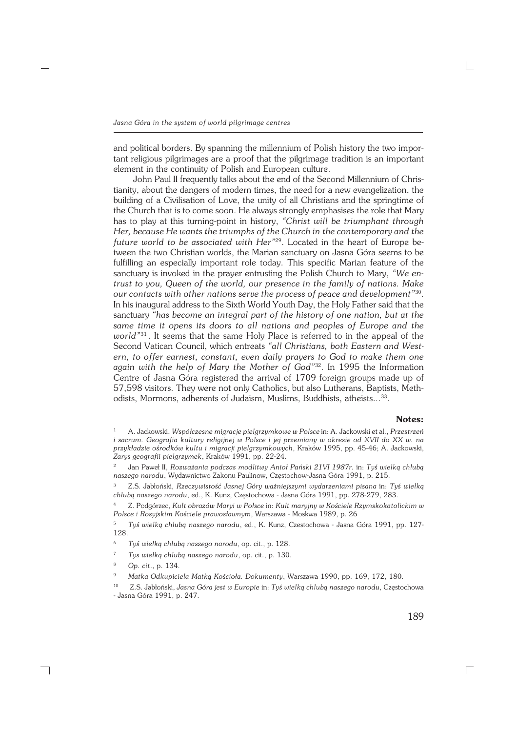and political borders. By spanning the millennium of Polish history the two impor− tant religious pilgrimages are a proof that the pilgrimage tradition is an important element in the continuity of Polish and European culture.

John Paul II frequently talks about the end of the Second Millennium of Chris− tianity, about the dangers of modern times, the need for a new evangelization, the building of a Civilisation of Love, the unity of all Christians and the springtime of the Church that is to come soon. He always strongly emphasises the role that Mary has to play at this turning−point in history, *"Christ will be triumphant through Her, because He wants the triumphs of the Church in the contemporary and the future world to be associated with Her"*29. Located in the heart of Europe be− tween the two Christian worlds, the Marian sanctuary on Jasna Góra seems to be fulfilling an especially important role today. This specific Marian feature of the sanctuary is invoked in the prayer entrusting the Polish Church to Mary, *"We en− trust to you, Queen of the world, our presence in the family of nations. Make our contacts with other nations serve the process of peace and development"*<sup>30</sup> . In his inaugural address to the Sixth World Youth Day, the Holy Father said that the sanctuary *"has become an integral part of the history of one nation, but at the same time it opens its doors to all nations and peoples of Europe and the world"*<sup>31</sup> . It seems that the same Holy Place is referred to in the appeal of the Second Vatican Council, which entreats *"all Christians, both Eastern and West− ern, to offer earnest, constant, even daily prayers to God to make them one again with the help of Mary the Mother of God"*32. In 1995 the Information Centre of Jasna Góra registered the arrival of 1709 foreign groups made up of 57,598 visitors. They were not only Catholics, but also Lutherans, Baptists, Meth− odists, Mormons, adherents of Judaism, Muslims, Buddhists, atheists...<sup>33</sup>.

#### **Notes:**

<sup>4</sup> Z. Podgórzec, *Kult obrazów Maryi w Polsce* in: *Kult maryjny w Kościele Rzymskokatolickim w Polsce i Rosyjskim Kościele prawosławnym*, Warszawa − Moskwa 1989, p. 26

- <sup>6</sup> *Tyś wielką chlubą naszego narodu*, op. cit., p. 128.
- <sup>7</sup> *Tys wielką chlubą naszego narodu*, op. cit., p. 130.
- <sup>8</sup> *Op. cit*., p. 134.

<sup>1</sup> A. Jackowski, *Współczesne migracje pielgrzymkowe w Polsce* in: A. Jackowski et al., *Przestrzeń i sacrum. Geografia kultury religijnej w Polsce i jej przemiany w okresie od XVII do XX w. na przykładzie ośrodków kultu i migracji pielgrzymkowych*, Kraków 1995, pp. 45−46; A. Jackowski, *Zarys geografii pielgrzymek*, Kraków 1991, pp. 22−24.

<sup>2</sup> Jan Paweł II, *Rozważania podczas modlitwy Anioł Pański 21VI 1987r.* in: *Tyś wielką chlubą naszego narodu*, Wydawnictwo Zakonu Paulinow, Częstochow−Jasna Góra 1991, p. 215.

<sup>3</sup> Z.S. Jabłoński, *Rzeczywistość Jasnej Góry ważniejszymi wydarzeniami pisana* in: *Tyś wielką chlubą naszego narodu*, ed., K. Kunz, Częstochowa − Jasna Góra 1991, pp. 278−279, 283.

<sup>5</sup> *Tyś wielką chlubą naszego narodu*, ed., K. Kunz, Czestochowa − Jasna Góra 1991, pp. 127− 128.

<sup>9</sup> *Matka Odkupiciela Matką Kościoła. Dokumenty*, Warszawa 1990, pp. 169, 172, 180.

<sup>10</sup> Z.S. Jabłoński, *Jasna Góra jest w Europie* in: *Tyś wielką chlubą naszego narodu*, Częstochowa − Jasna Góra 1991, p. 247.